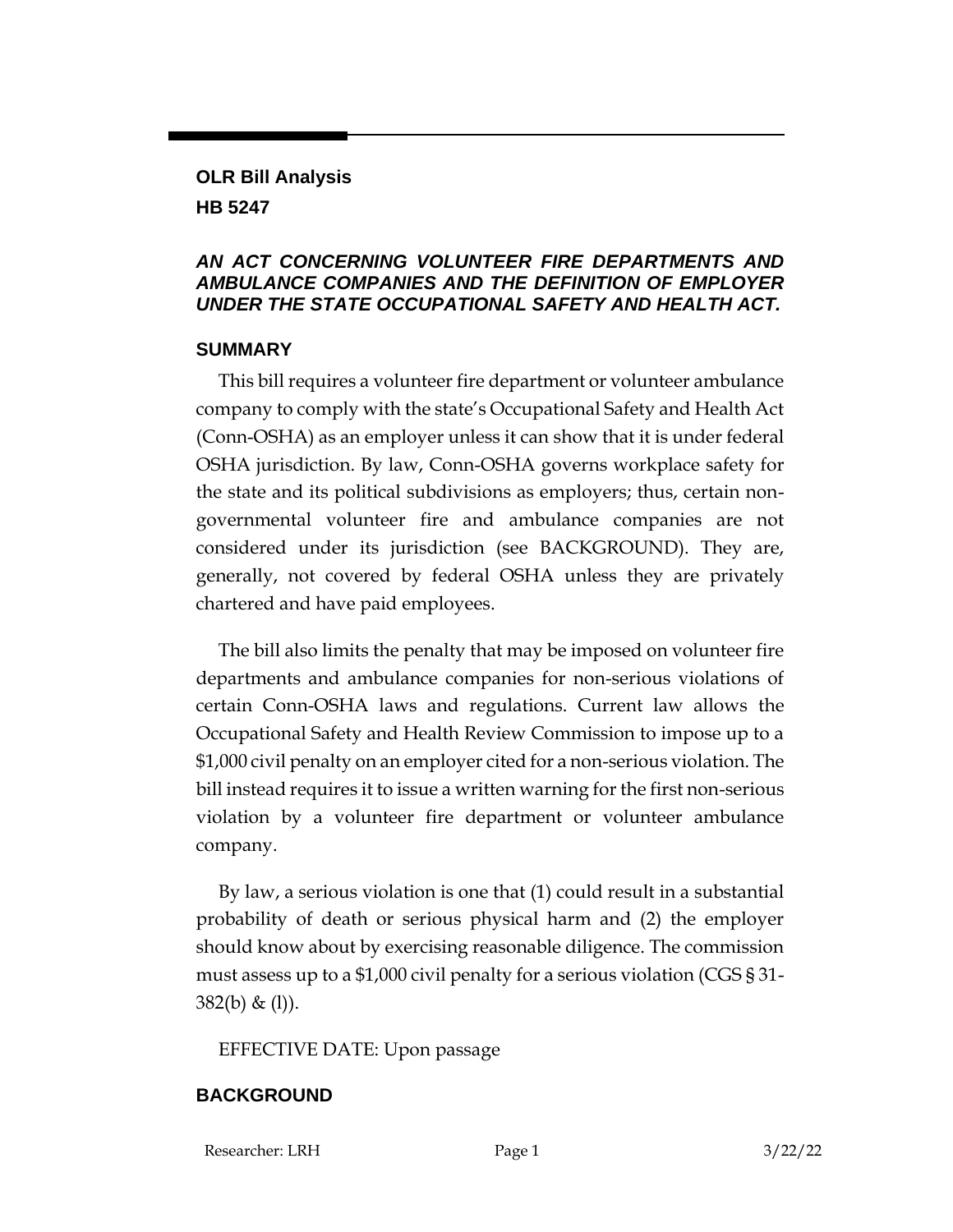## **OLR Bill Analysis**

**HB 5247**

### *AN ACT CONCERNING VOLUNTEER FIRE DEPARTMENTS AND AMBULANCE COMPANIES AND THE DEFINITION OF EMPLOYER UNDER THE STATE OCCUPATIONAL SAFETY AND HEALTH ACT.*

#### **SUMMARY**

This bill requires a volunteer fire department or volunteer ambulance company to comply with the state's Occupational Safety and Health Act (Conn-OSHA) as an employer unless it can show that it is under federal OSHA jurisdiction. By law, Conn-OSHA governs workplace safety for the state and its political subdivisions as employers; thus, certain nongovernmental volunteer fire and ambulance companies are not considered under its jurisdiction (see BACKGROUND). They are, generally, not covered by federal OSHA unless they are privately chartered and have paid employees.

The bill also limits the penalty that may be imposed on volunteer fire departments and ambulance companies for non-serious violations of certain Conn-OSHA laws and regulations. Current law allows the Occupational Safety and Health Review Commission to impose up to a \$1,000 civil penalty on an employer cited for a non-serious violation. The bill instead requires it to issue a written warning for the first non-serious violation by a volunteer fire department or volunteer ambulance company.

By law, a serious violation is one that (1) could result in a substantial probability of death or serious physical harm and (2) the employer should know about by exercising reasonable diligence. The commission must assess up to a \$1,000 civil penalty for a serious violation (CGS § 31- 382(b) & (l)).

EFFECTIVE DATE: Upon passage

## **BACKGROUND**

Researcher: LRH Page 1 3/22/22